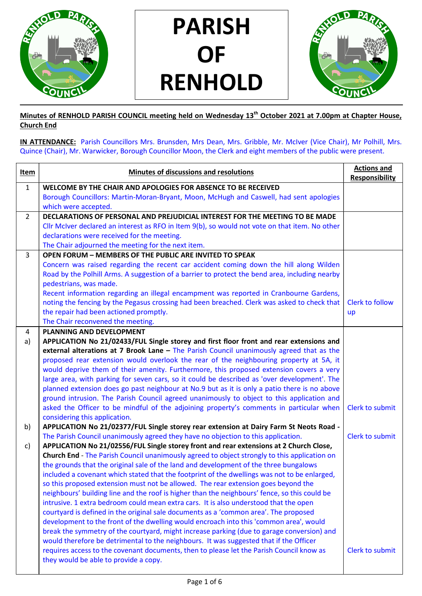

PARISH OF RENHOLD



## Minutes of RENHOLD PARISH COUNCIL meeting held on Wednesday 13<sup>th</sup> October 2021 at 7.00pm at Chapter House, Church End

IN ATTENDANCE: Parish Councillors Mrs. Brunsden, Mrs Dean, Mrs. Gribble, Mr. McIver (Vice Chair), Mr Polhill, Mrs. Quince (Chair), Mr. Warwicker, Borough Councillor Moon, the Clerk and eight members of the public were present.

| Item           | Minutes of discussions and resolutions                                                              | <b>Actions and</b>     |
|----------------|-----------------------------------------------------------------------------------------------------|------------------------|
|                |                                                                                                     | <b>Responsibility</b>  |
| $\mathbf{1}$   | WELCOME BY THE CHAIR AND APOLOGIES FOR ABSENCE TO BE RECEIVED                                       |                        |
|                | Borough Councillors: Martin-Moran-Bryant, Moon, McHugh and Caswell, had sent apologies              |                        |
|                | which were accepted.                                                                                |                        |
| $\overline{2}$ | DECLARATIONS OF PERSONAL AND PREJUDICIAL INTEREST FOR THE MEETING TO BE MADE                        |                        |
|                | Cllr McIver declared an interest as RFO in Item 9(b), so would not vote on that item. No other      |                        |
|                | declarations were received for the meeting.                                                         |                        |
|                | The Chair adjourned the meeting for the next item.                                                  |                        |
| 3              | <b>OPEN FORUM - MEMBERS OF THE PUBLIC ARE INVITED TO SPEAK</b>                                      |                        |
|                | Concern was raised regarding the recent car accident coming down the hill along Wilden              |                        |
|                | Road by the Polhill Arms. A suggestion of a barrier to protect the bend area, including nearby      |                        |
|                | pedestrians, was made.                                                                              |                        |
|                | Recent information regarding an illegal encampment was reported in Cranbourne Gardens,              |                        |
|                | noting the fencing by the Pegasus crossing had been breached. Clerk was asked to check that         | <b>Clerk to follow</b> |
|                | the repair had been actioned promptly.                                                              | up                     |
|                | The Chair reconvened the meeting.<br>PLANNING AND DEVELOPMENT                                       |                        |
| 4              | APPLICATION No 21/02433/FUL Single storey and first floor front and rear extensions and             |                        |
| a)             | external alterations at $7$ Brook Lane $-$ The Parish Council unanimously agreed that as the        |                        |
|                | proposed rear extension would overlook the rear of the neighbouring property at 5A, it              |                        |
|                | would deprive them of their amenity. Furthermore, this proposed extension covers a very             |                        |
|                | large area, with parking for seven cars, so it could be described as 'over development'. The        |                        |
|                | planned extension does go past neighbour at No.9 but as it is only a patio there is no above        |                        |
|                | ground intrusion. The Parish Council agreed unanimously to object to this application and           |                        |
|                | asked the Officer to be mindful of the adjoining property's comments in particular when             | Clerk to submit        |
|                | considering this application.                                                                       |                        |
| b)             | APPLICATION No 21/02377/FUL Single storey rear extension at Dairy Farm St Neots Road -              |                        |
|                | The Parish Council unanimously agreed they have no objection to this application.                   | Clerk to submit        |
| c)             | APPLICATION No 21/02556/FUL Single storey front and rear extensions at 2 Church Close,              |                        |
|                | <b>Church End</b> - The Parish Council unanimously agreed to object strongly to this application on |                        |
|                | the grounds that the original sale of the land and development of the three bungalows               |                        |
|                | included a covenant which stated that the footprint of the dwellings was not to be enlarged,        |                        |
|                | so this proposed extension must not be allowed. The rear extension goes beyond the                  |                        |
|                | neighbours' building line and the roof is higher than the neighbours' fence, so this could be       |                        |
|                | intrusive. 1 extra bedroom could mean extra cars. It is also understood that the open               |                        |
|                | courtyard is defined in the original sale documents as a 'common area'. The proposed                |                        |
|                | development to the front of the dwelling would encroach into this 'common area', would              |                        |
|                | break the symmetry of the courtyard, might increase parking (due to garage conversion) and          |                        |
|                | would therefore be detrimental to the neighbours. It was suggested that if the Officer              |                        |
|                | requires access to the covenant documents, then to please let the Parish Council know as            | Clerk to submit        |
|                | they would be able to provide a copy.                                                               |                        |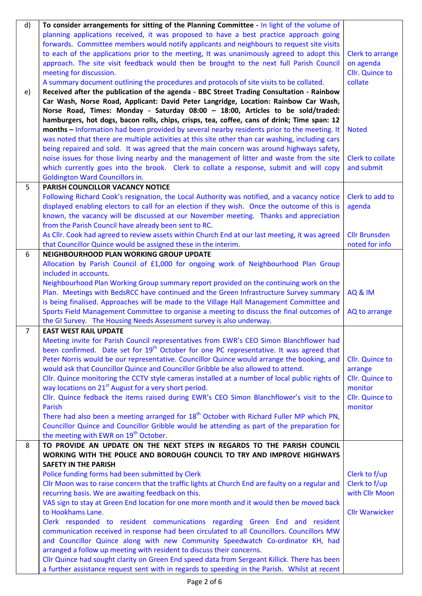| d)             | To consider arrangements for sitting of the Planning Committee - In light of the volume of           |                         |
|----------------|------------------------------------------------------------------------------------------------------|-------------------------|
|                | planning applications received, it was proposed to have a best practice approach going               |                         |
|                | forwards. Committee members would notify applicants and neighbours to request site visits            |                         |
|                | to each of the applications prior to the meeting, It was unanimously agreed to adopt this            | Clerk to arrange        |
|                | approach. The site visit feedback would then be brought to the next full Parish Council              | on agenda               |
|                | meeting for discussion.                                                                              | Cllr. Quince to         |
|                | A summary document outlining the procedures and protocols of site visits to be collated.             | collate                 |
| e)             | Received after the publication of the agenda - BBC Street Trading Consultation - Rainbow             |                         |
|                | Car Wash, Norse Road, Applicant: David Peter Langridge, Location: Rainbow Car Wash,                  |                         |
|                | Norse Road, Times: Monday - Saturday 08:00 - 18:00, Articles to be sold/traded:                      |                         |
|                | hamburgers, hot dogs, bacon rolls, chips, crisps, tea, coffee, cans of drink; Time span: 12          |                         |
|                | months - Information had been provided by several nearby residents prior to the meeting. It          | <b>Noted</b>            |
|                | was noted that there are multiple activities at this site other than car washing, including cars     |                         |
|                | being repaired and sold. It was agreed that the main concern was around highways safety,             |                         |
|                | noise issues for those living nearby and the management of litter and waste from the site            | <b>Clerk to collate</b> |
|                | which currently goes into the brook. Clerk to collate a response, submit and will copy               | and submit              |
|                | <b>Goldington Ward Councillors in.</b>                                                               |                         |
| 5              | PARISH COUNCILLOR VACANCY NOTICE                                                                     |                         |
|                | Following Richard Cook's resignation, the Local Authority was notified, and a vacancy notice         | Clerk to add to         |
|                | displayed enabling electors to call for an election if they wish. Once the outcome of this is        | agenda                  |
|                | known, the vacancy will be discussed at our November meeting. Thanks and appreciation                |                         |
|                | from the Parish Council have already been sent to RC.                                                |                         |
|                | As Cllr. Cook had agreed to review assets within Church End at our last meeting, it was agreed       | <b>Cllr Brunsden</b>    |
|                | that Councillor Quince would be assigned these in the interim.                                       | noted for info          |
| 6              | NEIGHBOURHOOD PLAN WORKING GROUP UPDATE                                                              |                         |
|                | Allocation by Parish Council of £1,000 for ongoing work of Neighbourhood Plan Group                  |                         |
|                | included in accounts.                                                                                |                         |
|                | Neighbourhood Plan Working Group summary report provided on the continuing work on the               |                         |
|                | Plan. Meetings with BedsRCC have continued and the Green Infrastructure Survey summary               | <b>AQ &amp; IM</b>      |
|                | is being finalised. Approaches will be made to the Village Hall Management Committee and             |                         |
|                | Sports Field Management Committee to organise a meeting to discuss the final outcomes of             | AQ to arrange           |
| $\overline{7}$ | the GI Survey. The Housing Needs Assessment survey is also underway.<br><b>EAST WEST RAIL UPDATE</b> |                         |
|                | Meeting invite for Parish Council representatives from EWR's CEO Simon Blanchflower had              |                         |
|                | been confirmed. Date set for 19 <sup>th</sup> October for one PC representative. It was agreed that  |                         |
|                | Peter Norris would be our representative. Councillor Quince would arrange the booking, and           | Cllr. Quince to         |
|                | would ask that Councillor Quince and Councillor Gribble be also allowed to attend.                   | arrange                 |
|                | Cllr. Quince monitoring the CCTV style cameras installed at a number of local public rights of       | Cllr. Quince to         |
|                | way locations on 21 <sup>st</sup> August for a very short period.                                    | monitor                 |
|                | Cllr. Quince fedback the items raised during EWR's CEO Simon Blanchflower's visit to the             | Cllr. Quince to         |
|                | Parish                                                                                               | monitor                 |
|                | There had also been a meeting arranged for 18 <sup>th</sup> October with Richard Fuller MP which PN, |                         |
|                | Councillor Quince and Councillor Gribble would be attending as part of the preparation for           |                         |
|                | the meeting with EWR on 19 <sup>th</sup> October.                                                    |                         |
| 8              | TO PROVIDE AN UPDATE ON THE NEXT STEPS IN REGARDS TO THE PARISH COUNCIL                              |                         |
|                | WORKING WITH THE POLICE AND BOROUGH COUNCIL TO TRY AND IMPROVE HIGHWAYS                              |                         |
|                | <b>SAFETY IN THE PARISH</b>                                                                          |                         |
|                | Police funding forms had been submitted by Clerk                                                     | Clerk to f/up           |
|                | Cllr Moon was to raise concern that the traffic lights at Church End are faulty on a regular and     | Clerk to f/up           |
|                | recurring basis. We are awaiting feedback on this.                                                   | with Cllr Moon          |
|                | VAS sign to stay at Green End location for one more month and it would then be moved back            |                         |
|                | to Hookhams Lane.                                                                                    | <b>Cllr Warwicker</b>   |
|                | Clerk responded to resident communications regarding Green End and resident                          |                         |
|                | communication received in response had been circulated to all Councillors. Councillors MW            |                         |
|                | and Councillor Quince along with new Community Speedwatch Co-ordinator KH, had                       |                         |
|                | arranged a follow up meeting with resident to discuss their concerns.                                |                         |
|                | Cllr Quince had sought clarity on Green End speed data from Sergeant Killick. There has been         |                         |
|                | a further assistance request sent with in regards to speeding in the Parish. Whilst at recent        |                         |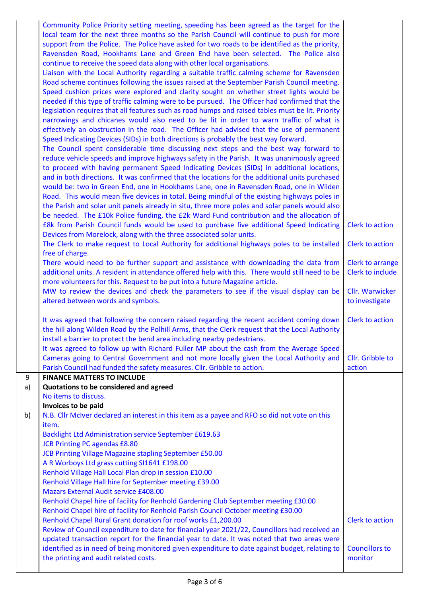|    | Community Police Priority setting meeting, speeding has been agreed as the target for the<br>local team for the next three months so the Parish Council will continue to push for more<br>support from the Police. The Police have asked for two roads to be identified as the priority,<br>Ravensden Road, Hookhams Lane and Green End have been selected. The Police also<br>continue to receive the speed data along with other local organisations.<br>Liaison with the Local Authority regarding a suitable traffic calming scheme for Ravensden<br>Road scheme continues following the issues raised at the September Parish Council meeting.<br>Speed cushion prices were explored and clarity sought on whether street lights would be<br>needed if this type of traffic calming were to be pursued. The Officer had confirmed that the<br>legislation requires that all features such as road humps and raised tables must be lit. Priority<br>narrowings and chicanes would also need to be lit in order to warn traffic of what is<br>effectively an obstruction in the road. The Officer had advised that the use of permanent<br>Speed Indicating Devices (SIDs) in both directions is probably the best way forward.<br>The Council spent considerable time discussing next steps and the best way forward to<br>reduce vehicle speeds and improve highways safety in the Parish. It was unanimously agreed<br>to proceed with having permanent Speed Indicating Devices (SIDs) in additional locations,<br>and in both directions. It was confirmed that the locations for the additional units purchased<br>would be: two in Green End, one in Hookhams Lane, one in Ravensden Road, one in Wilden<br>Road. This would mean five devices in total. Being mindful of the existing highways poles in<br>the Parish and solar unit panels already in situ, three more poles and solar panels would also<br>be needed. The £10k Police funding, the £2k Ward Fund contribution and the allocation of |                                      |
|----|------------------------------------------------------------------------------------------------------------------------------------------------------------------------------------------------------------------------------------------------------------------------------------------------------------------------------------------------------------------------------------------------------------------------------------------------------------------------------------------------------------------------------------------------------------------------------------------------------------------------------------------------------------------------------------------------------------------------------------------------------------------------------------------------------------------------------------------------------------------------------------------------------------------------------------------------------------------------------------------------------------------------------------------------------------------------------------------------------------------------------------------------------------------------------------------------------------------------------------------------------------------------------------------------------------------------------------------------------------------------------------------------------------------------------------------------------------------------------------------------------------------------------------------------------------------------------------------------------------------------------------------------------------------------------------------------------------------------------------------------------------------------------------------------------------------------------------------------------------------------------------------------------------------------------------------------------------------------------------------------------------------|--------------------------------------|
|    | £8k from Parish Council funds would be used to purchase five additional Speed Indicating                                                                                                                                                                                                                                                                                                                                                                                                                                                                                                                                                                                                                                                                                                                                                                                                                                                                                                                                                                                                                                                                                                                                                                                                                                                                                                                                                                                                                                                                                                                                                                                                                                                                                                                                                                                                                                                                                                                         | Clerk to action                      |
|    | Devices from Morelock, along with the three associated solar units.<br>The Clerk to make request to Local Authority for additional highways poles to be installed                                                                                                                                                                                                                                                                                                                                                                                                                                                                                                                                                                                                                                                                                                                                                                                                                                                                                                                                                                                                                                                                                                                                                                                                                                                                                                                                                                                                                                                                                                                                                                                                                                                                                                                                                                                                                                                | Clerk to action                      |
|    | free of charge.                                                                                                                                                                                                                                                                                                                                                                                                                                                                                                                                                                                                                                                                                                                                                                                                                                                                                                                                                                                                                                                                                                                                                                                                                                                                                                                                                                                                                                                                                                                                                                                                                                                                                                                                                                                                                                                                                                                                                                                                  |                                      |
|    | There would need to be further support and assistance with downloading the data from<br>additional units. A resident in attendance offered help with this. There would still need to be<br>more volunteers for this. Request to be put into a future Magazine article.                                                                                                                                                                                                                                                                                                                                                                                                                                                                                                                                                                                                                                                                                                                                                                                                                                                                                                                                                                                                                                                                                                                                                                                                                                                                                                                                                                                                                                                                                                                                                                                                                                                                                                                                           | Clerk to arrange<br>Clerk to include |
|    | MW to review the devices and check the parameters to see if the visual display can be                                                                                                                                                                                                                                                                                                                                                                                                                                                                                                                                                                                                                                                                                                                                                                                                                                                                                                                                                                                                                                                                                                                                                                                                                                                                                                                                                                                                                                                                                                                                                                                                                                                                                                                                                                                                                                                                                                                            | Cllr. Warwicker                      |
|    | altered between words and symbols.                                                                                                                                                                                                                                                                                                                                                                                                                                                                                                                                                                                                                                                                                                                                                                                                                                                                                                                                                                                                                                                                                                                                                                                                                                                                                                                                                                                                                                                                                                                                                                                                                                                                                                                                                                                                                                                                                                                                                                               | to investigate                       |
|    | It was agreed that following the concern raised regarding the recent accident coming down<br>the hill along Wilden Road by the Polhill Arms, that the Clerk request that the Local Authority<br>install a barrier to protect the bend area including nearby pedestrians.<br>It was agreed to follow up with Richard Fuller MP about the cash from the Average Speed                                                                                                                                                                                                                                                                                                                                                                                                                                                                                                                                                                                                                                                                                                                                                                                                                                                                                                                                                                                                                                                                                                                                                                                                                                                                                                                                                                                                                                                                                                                                                                                                                                              | Clerk to action                      |
|    | Cameras going to Central Government and not more locally given the Local Authority and<br>Parish Council had funded the safety measures. Cllr. Gribble to action.                                                                                                                                                                                                                                                                                                                                                                                                                                                                                                                                                                                                                                                                                                                                                                                                                                                                                                                                                                                                                                                                                                                                                                                                                                                                                                                                                                                                                                                                                                                                                                                                                                                                                                                                                                                                                                                | Cllr. Gribble to<br>action           |
| 9  | <b>FINANCE MATTERS TO INCLUDE</b>                                                                                                                                                                                                                                                                                                                                                                                                                                                                                                                                                                                                                                                                                                                                                                                                                                                                                                                                                                                                                                                                                                                                                                                                                                                                                                                                                                                                                                                                                                                                                                                                                                                                                                                                                                                                                                                                                                                                                                                |                                      |
| a) | Quotations to be considered and agreed                                                                                                                                                                                                                                                                                                                                                                                                                                                                                                                                                                                                                                                                                                                                                                                                                                                                                                                                                                                                                                                                                                                                                                                                                                                                                                                                                                                                                                                                                                                                                                                                                                                                                                                                                                                                                                                                                                                                                                           |                                      |
|    | No items to discuss.                                                                                                                                                                                                                                                                                                                                                                                                                                                                                                                                                                                                                                                                                                                                                                                                                                                                                                                                                                                                                                                                                                                                                                                                                                                                                                                                                                                                                                                                                                                                                                                                                                                                                                                                                                                                                                                                                                                                                                                             |                                      |
| b) | Invoices to be paid<br>N.B. Cllr McIver declared an interest in this item as a payee and RFO so did not vote on this                                                                                                                                                                                                                                                                                                                                                                                                                                                                                                                                                                                                                                                                                                                                                                                                                                                                                                                                                                                                                                                                                                                                                                                                                                                                                                                                                                                                                                                                                                                                                                                                                                                                                                                                                                                                                                                                                             |                                      |
|    | item.                                                                                                                                                                                                                                                                                                                                                                                                                                                                                                                                                                                                                                                                                                                                                                                                                                                                                                                                                                                                                                                                                                                                                                                                                                                                                                                                                                                                                                                                                                                                                                                                                                                                                                                                                                                                                                                                                                                                                                                                            |                                      |
|    | Backlight Ltd Administration service September £619.63                                                                                                                                                                                                                                                                                                                                                                                                                                                                                                                                                                                                                                                                                                                                                                                                                                                                                                                                                                                                                                                                                                                                                                                                                                                                                                                                                                                                                                                                                                                                                                                                                                                                                                                                                                                                                                                                                                                                                           |                                      |
|    | <b>JCB Printing PC agendas £8.80</b><br>JCB Printing Village Magazine stapling September £50.00                                                                                                                                                                                                                                                                                                                                                                                                                                                                                                                                                                                                                                                                                                                                                                                                                                                                                                                                                                                                                                                                                                                                                                                                                                                                                                                                                                                                                                                                                                                                                                                                                                                                                                                                                                                                                                                                                                                  |                                      |
|    | A R Worboys Ltd grass cutting SI1641 £198.00                                                                                                                                                                                                                                                                                                                                                                                                                                                                                                                                                                                                                                                                                                                                                                                                                                                                                                                                                                                                                                                                                                                                                                                                                                                                                                                                                                                                                                                                                                                                                                                                                                                                                                                                                                                                                                                                                                                                                                     |                                      |
|    | Renhold Village Hall Local Plan drop in session £10.00                                                                                                                                                                                                                                                                                                                                                                                                                                                                                                                                                                                                                                                                                                                                                                                                                                                                                                                                                                                                                                                                                                                                                                                                                                                                                                                                                                                                                                                                                                                                                                                                                                                                                                                                                                                                                                                                                                                                                           |                                      |
|    | Renhold Village Hall hire for September meeting £39.00                                                                                                                                                                                                                                                                                                                                                                                                                                                                                                                                                                                                                                                                                                                                                                                                                                                                                                                                                                                                                                                                                                                                                                                                                                                                                                                                                                                                                                                                                                                                                                                                                                                                                                                                                                                                                                                                                                                                                           |                                      |
|    | <b>Mazars External Audit service £408.00</b><br>Renhold Chapel hire of facility for Renhold Gardening Club September meeting £30.00                                                                                                                                                                                                                                                                                                                                                                                                                                                                                                                                                                                                                                                                                                                                                                                                                                                                                                                                                                                                                                                                                                                                                                                                                                                                                                                                                                                                                                                                                                                                                                                                                                                                                                                                                                                                                                                                              |                                      |
|    | Renhold Chapel hire of facility for Renhold Parish Council October meeting £30.00                                                                                                                                                                                                                                                                                                                                                                                                                                                                                                                                                                                                                                                                                                                                                                                                                                                                                                                                                                                                                                                                                                                                                                                                                                                                                                                                                                                                                                                                                                                                                                                                                                                                                                                                                                                                                                                                                                                                |                                      |
|    | Renhold Chapel Rural Grant donation for roof works £1,200.00                                                                                                                                                                                                                                                                                                                                                                                                                                                                                                                                                                                                                                                                                                                                                                                                                                                                                                                                                                                                                                                                                                                                                                                                                                                                                                                                                                                                                                                                                                                                                                                                                                                                                                                                                                                                                                                                                                                                                     | <b>Clerk to action</b>               |
|    | Review of Council expenditure to date for financial year 2021/22, Councillors had received an<br>updated transaction report for the financial year to date. It was noted that two areas were                                                                                                                                                                                                                                                                                                                                                                                                                                                                                                                                                                                                                                                                                                                                                                                                                                                                                                                                                                                                                                                                                                                                                                                                                                                                                                                                                                                                                                                                                                                                                                                                                                                                                                                                                                                                                     |                                      |
|    | identified as in need of being monitored given expenditure to date against budget, relating to                                                                                                                                                                                                                                                                                                                                                                                                                                                                                                                                                                                                                                                                                                                                                                                                                                                                                                                                                                                                                                                                                                                                                                                                                                                                                                                                                                                                                                                                                                                                                                                                                                                                                                                                                                                                                                                                                                                   | <b>Councillors to</b>                |
|    | the printing and audit related costs.                                                                                                                                                                                                                                                                                                                                                                                                                                                                                                                                                                                                                                                                                                                                                                                                                                                                                                                                                                                                                                                                                                                                                                                                                                                                                                                                                                                                                                                                                                                                                                                                                                                                                                                                                                                                                                                                                                                                                                            | monitor                              |
|    |                                                                                                                                                                                                                                                                                                                                                                                                                                                                                                                                                                                                                                                                                                                                                                                                                                                                                                                                                                                                                                                                                                                                                                                                                                                                                                                                                                                                                                                                                                                                                                                                                                                                                                                                                                                                                                                                                                                                                                                                                  |                                      |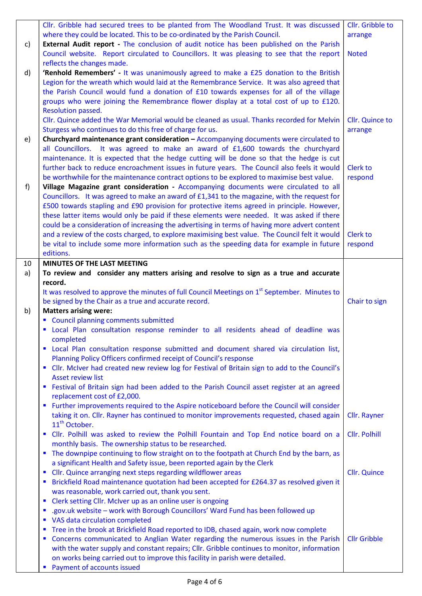|    | Cllr. Gribble had secured trees to be planted from The Woodland Trust. It was discussed<br>where they could be located. This to be co-ordinated by the Parish Council.                                                                                                                                                                                                                                                                                                                                                                                                        | Cllr. Gribble to           |
|----|-------------------------------------------------------------------------------------------------------------------------------------------------------------------------------------------------------------------------------------------------------------------------------------------------------------------------------------------------------------------------------------------------------------------------------------------------------------------------------------------------------------------------------------------------------------------------------|----------------------------|
| c) | <b>External Audit report - The conclusion of audit notice has been published on the Parish</b>                                                                                                                                                                                                                                                                                                                                                                                                                                                                                | arrange                    |
|    | Council website. Report circulated to Councillors. It was pleasing to see that the report                                                                                                                                                                                                                                                                                                                                                                                                                                                                                     | <b>Noted</b>               |
|    | reflects the changes made.                                                                                                                                                                                                                                                                                                                                                                                                                                                                                                                                                    |                            |
| d) | 'Renhold Remembers' - It was unanimously agreed to make a £25 donation to the British<br>Legion for the wreath which would laid at the Remembrance Service. It was also agreed that<br>the Parish Council would fund a donation of £10 towards expenses for all of the village<br>groups who were joining the Remembrance flower display at a total cost of up to £120.                                                                                                                                                                                                       |                            |
|    | Resolution passed.<br>Cllr. Quince added the War Memorial would be cleaned as usual. Thanks recorded for Melvin                                                                                                                                                                                                                                                                                                                                                                                                                                                               | Cllr. Quince to            |
| e) | Sturgess who continues to do this free of charge for us.<br>Churchyard maintenance grant consideration - Accompanying documents were circulated to<br>all Councillors. It was agreed to make an award of £1,600 towards the churchyard<br>maintenance. It is expected that the hedge cutting will be done so that the hedge is cut<br>further back to reduce encroachment issues in future years. The Council also feels it would                                                                                                                                             | arrange<br><b>Clerk to</b> |
| f) | be worthwhile for the maintenance contract options to be explored to maximise best value.<br>Village Magazine grant consideration - Accompanying documents were circulated to all<br>Councillors. It was agreed to make an award of £1,341 to the magazine, with the request for<br>£500 towards stapling and £90 provision for protective items agreed in principle. However,<br>these latter items would only be paid if these elements were needed. It was asked if there<br>could be a consideration of increasing the advertising in terms of having more advert content | respond                    |
|    | and a review of the costs charged, to explore maximising best value. The Council felt it would<br>be vital to include some more information such as the speeding data for example in future<br>editions.                                                                                                                                                                                                                                                                                                                                                                      | <b>Clerk to</b><br>respond |
| 10 | <b>MINUTES OF THE LAST MEETING</b>                                                                                                                                                                                                                                                                                                                                                                                                                                                                                                                                            |                            |
| a) | To review and consider any matters arising and resolve to sign as a true and accurate                                                                                                                                                                                                                                                                                                                                                                                                                                                                                         |                            |
|    | record.                                                                                                                                                                                                                                                                                                                                                                                                                                                                                                                                                                       |                            |
|    | It was resolved to approve the minutes of full Council Meetings on 1 <sup>st</sup> September. Minutes to                                                                                                                                                                                                                                                                                                                                                                                                                                                                      |                            |
|    | be signed by the Chair as a true and accurate record.                                                                                                                                                                                                                                                                                                                                                                                                                                                                                                                         | Chair to sign              |
| b) | <b>Matters arising were:</b>                                                                                                                                                                                                                                                                                                                                                                                                                                                                                                                                                  |                            |
|    | " Council planning comments submitted                                                                                                                                                                                                                                                                                                                                                                                                                                                                                                                                         |                            |
|    | " Local Plan consultation response reminder to all residents ahead of deadline was<br>completed                                                                                                                                                                                                                                                                                                                                                                                                                                                                               |                            |
|    | " Local Plan consultation response submitted and document shared via circulation list,<br>Planning Policy Officers confirmed receipt of Council's response                                                                                                                                                                                                                                                                                                                                                                                                                    |                            |
|    | Cllr. McIver had created new review log for Festival of Britain sign to add to the Council's<br>$\blacksquare$<br><b>Asset review list</b>                                                                                                                                                                                                                                                                                                                                                                                                                                    |                            |
|    | Festival of Britain sign had been added to the Parish Council asset register at an agreed<br><b>CONTRACTOR</b><br>replacement cost of £2,000.                                                                                                                                                                                                                                                                                                                                                                                                                                 |                            |
|    | Further improvements required to the Aspire noticeboard before the Council will consider<br>$\blacksquare$                                                                                                                                                                                                                                                                                                                                                                                                                                                                    |                            |
|    | taking it on. Cllr. Rayner has continued to monitor improvements requested, chased again<br>11 <sup>th</sup> October.                                                                                                                                                                                                                                                                                                                                                                                                                                                         | Cllr. Rayner               |
|    | Cllr. Polhill was asked to review the Polhill Fountain and Top End notice board on a<br>п<br>monthly basis. The ownership status to be researched.                                                                                                                                                                                                                                                                                                                                                                                                                            | <b>Cllr. Polhill</b>       |
|    | The downpipe continuing to flow straight on to the footpath at Church End by the barn, as<br>п<br>a significant Health and Safety issue, been reported again by the Clerk                                                                                                                                                                                                                                                                                                                                                                                                     |                            |
|    | Cllr. Quince arranging next steps regarding wildflower areas<br>ш                                                                                                                                                                                                                                                                                                                                                                                                                                                                                                             | <b>Cllr.</b> Quince        |
|    | Brickfield Road maintenance quotation had been accepted for £264.37 as resolved given it                                                                                                                                                                                                                                                                                                                                                                                                                                                                                      |                            |
|    | was reasonable, work carried out, thank you sent.                                                                                                                                                                                                                                                                                                                                                                                                                                                                                                                             |                            |
|    |                                                                                                                                                                                                                                                                                                                                                                                                                                                                                                                                                                               |                            |
|    | ш                                                                                                                                                                                                                                                                                                                                                                                                                                                                                                                                                                             |                            |
|    | Clerk setting Cllr. McIver up as an online user is ongoing<br>п                                                                                                                                                                                                                                                                                                                                                                                                                                                                                                               |                            |
|    | .gov.uk website - work with Borough Councillors' Ward Fund has been followed up<br>VAS data circulation completed                                                                                                                                                                                                                                                                                                                                                                                                                                                             |                            |
|    | Tree in the brook at Brickfield Road reported to IDB, chased again, work now complete<br>щ                                                                                                                                                                                                                                                                                                                                                                                                                                                                                    |                            |
|    | Concerns communicated to Anglian Water regarding the numerous issues in the Parish                                                                                                                                                                                                                                                                                                                                                                                                                                                                                            | <b>Cllr Gribble</b>        |
|    | with the water supply and constant repairs; Cllr. Gribble continues to monitor, information                                                                                                                                                                                                                                                                                                                                                                                                                                                                                   |                            |
|    | on works being carried out to improve this facility in parish were detailed.                                                                                                                                                                                                                                                                                                                                                                                                                                                                                                  |                            |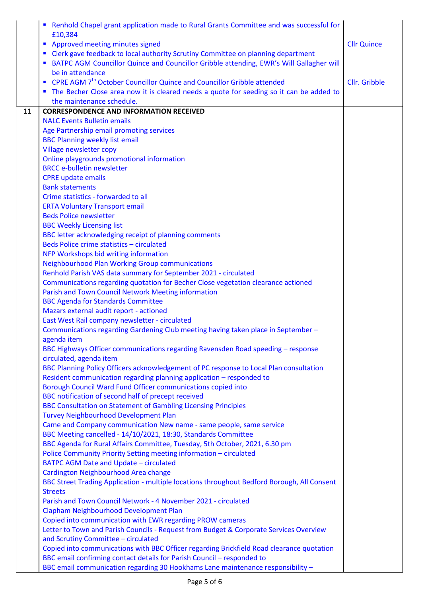|    | Renhold Chapel grant application made to Rural Grants Committee and was successful for                                        |                    |
|----|-------------------------------------------------------------------------------------------------------------------------------|--------------------|
|    | £10,384                                                                                                                       |                    |
|    | Approved meeting minutes signed                                                                                               | <b>Cllr Quince</b> |
|    | Clerk gave feedback to local authority Scrutiny Committee on planning department                                              |                    |
|    | BATPC AGM Councillor Quince and Councillor Gribble attending, EWR's Will Gallagher will                                       |                    |
|    | be in attendance                                                                                                              |                    |
|    | • CPRE AGM 7 <sup>th</sup> October Councillor Quince and Councillor Gribble attended                                          | Cllr. Gribble      |
|    | • The Becher Close area now it is cleared needs a quote for seeding so it can be added to                                     |                    |
|    | the maintenance schedule.                                                                                                     |                    |
| 11 | <b>CORRESPONDENCE AND INFORMATION RECEIVED</b>                                                                                |                    |
|    | <b>NALC Events Bulletin emails</b>                                                                                            |                    |
|    | Age Partnership email promoting services                                                                                      |                    |
|    | <b>BBC Planning weekly list email</b>                                                                                         |                    |
|    | Village newsletter copy                                                                                                       |                    |
|    | Online playgrounds promotional information                                                                                    |                    |
|    | <b>BRCC e-bulletin newsletter</b>                                                                                             |                    |
|    | <b>CPRE</b> update emails                                                                                                     |                    |
|    | <b>Bank statements</b>                                                                                                        |                    |
|    | Crime statistics - forwarded to all                                                                                           |                    |
|    | <b>ERTA Voluntary Transport email</b>                                                                                         |                    |
|    | <b>Beds Police newsletter</b><br><b>BBC Weekly Licensing list</b>                                                             |                    |
|    | BBC letter acknowledging receipt of planning comments                                                                         |                    |
|    | Beds Police crime statistics - circulated                                                                                     |                    |
|    | NFP Workshops bid writing information                                                                                         |                    |
|    | <b>Neighbourhood Plan Working Group communications</b>                                                                        |                    |
|    | Renhold Parish VAS data summary for September 2021 - circulated                                                               |                    |
|    | Communications regarding quotation for Becher Close vegetation clearance actioned                                             |                    |
|    | Parish and Town Council Network Meeting information                                                                           |                    |
|    | <b>BBC Agenda for Standards Committee</b>                                                                                     |                    |
|    | Mazars external audit report - actioned                                                                                       |                    |
|    | East West Rail company newsletter - circulated                                                                                |                    |
|    | Communications regarding Gardening Club meeting having taken place in September -                                             |                    |
|    | agenda item                                                                                                                   |                    |
|    | BBC Highways Officer communications regarding Ravensden Road speeding - response                                              |                    |
|    | circulated, agenda item                                                                                                       |                    |
|    | BBC Planning Policy Officers acknowledgement of PC response to Local Plan consultation                                        |                    |
|    | Resident communication regarding planning application - responded to                                                          |                    |
|    | Borough Council Ward Fund Officer communications copied into                                                                  |                    |
|    | BBC notification of second half of precept received                                                                           |                    |
|    | <b>BBC Consultation on Statement of Gambling Licensing Principles</b>                                                         |                    |
|    | <b>Turvey Neighbourhood Development Plan</b>                                                                                  |                    |
|    | Came and Company communication New name - same people, same service                                                           |                    |
|    | BBC Meeting cancelled - 14/10/2021, 18:30, Standards Committee                                                                |                    |
|    | BBC Agenda for Rural Affairs Committee, Tuesday, 5th October, 2021, 6.30 pm                                                   |                    |
|    | Police Community Priority Setting meeting information - circulated                                                            |                    |
|    | <b>BATPC AGM Date and Update - circulated</b>                                                                                 |                    |
|    | Cardington Neighbourhood Area change                                                                                          |                    |
|    | BBC Street Trading Application - multiple locations throughout Bedford Borough, All Consent                                   |                    |
|    | <b>Streets</b>                                                                                                                |                    |
|    | Parish and Town Council Network - 4 November 2021 - circulated                                                                |                    |
|    | Clapham Neighbourhood Development Plan                                                                                        |                    |
|    | Copied into communication with EWR regarding PROW cameras                                                                     |                    |
|    | Letter to Town and Parish Councils - Request from Budget & Corporate Services Overview<br>and Scrutiny Committee - circulated |                    |
|    | Copied into communications with BBC Officer regarding Brickfield Road clearance quotation                                     |                    |
|    | BBC email confirming contact details for Parish Council - responded to                                                        |                    |
|    | BBC email communication regarding 30 Hookhams Lane maintenance responsibility -                                               |                    |
|    |                                                                                                                               |                    |